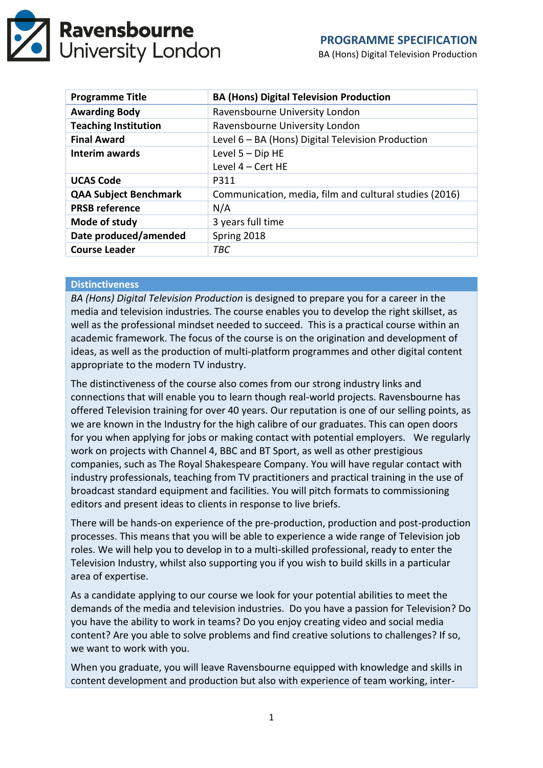

BA (Hons) Digital Television Production

| <b>Programme Title</b>       | <b>BA (Hons) Digital Television Production</b>         |
|------------------------------|--------------------------------------------------------|
| <b>Awarding Body</b>         | Ravensbourne University London                         |
| <b>Teaching Institution</b>  | Ravensbourne University London                         |
| <b>Final Award</b>           | Level 6 - BA (Hons) Digital Television Production      |
| Interim awards               | Level 5 - Dip HE                                       |
|                              | Level 4 - Cert HE                                      |
| <b>UCAS Code</b>             | P311                                                   |
| <b>QAA Subject Benchmark</b> | Communication, media, film and cultural studies (2016) |
| <b>PRSB reference</b>        | N/A                                                    |
| Mode of study                | 3 years full time                                      |
| Date produced/amended        | Spring 2018                                            |
| <b>Course Leader</b>         | TBC                                                    |

## **Distinctiveness**

*BA (Hons) Digital Television Production* is designed to prepare you for a career in the media and television industries. The course enables you to develop the right skillset, as well as the professional mindset needed to succeed. This is a practical course within an academic framework. The focus of the course is on the origination and development of ideas, as well as the production of multi-platform programmes and other digital content appropriate to the modern TV industry.

The distinctiveness of the course also comes from our strong industry links and connections that will enable you to learn though real-world projects. Ravensbourne has offered Television training for over 40 years. Our reputation is one of our selling points, as we are known in the Industry for the high calibre of our graduates. This can open doors for you when applying for jobs or making contact with potential employers. We regularly work on projects with Channel 4, BBC and BT Sport, as well as other prestigious companies, such as The Royal Shakespeare Company. You will have regular contact with industry professionals, teaching from TV practitioners and practical training in the use of broadcast standard equipment and facilities. You will pitch formats to commissioning editors and present ideas to clients in response to live briefs.

There will be hands-on experience of the pre-production, production and post-production processes. This means that you will be able to experience a wide range of Television job roles. We will help you to develop in to a multi-skilled professional, ready to enter the Television Industry, whilst also supporting you if you wish to build skills in a particular area of expertise.

As a candidate applying to our course we look for your potential abilities to meet the demands of the media and television industries. Do you have a passion for Television? Do you have the ability to work in teams? Do you enjoy creating video and social media content? Are you able to solve problems and find creative solutions to challenges? If so, we want to work with you.

When you graduate, you will leave Ravensbourne equipped with knowledge and skills in content development and production but also with experience of team working, inter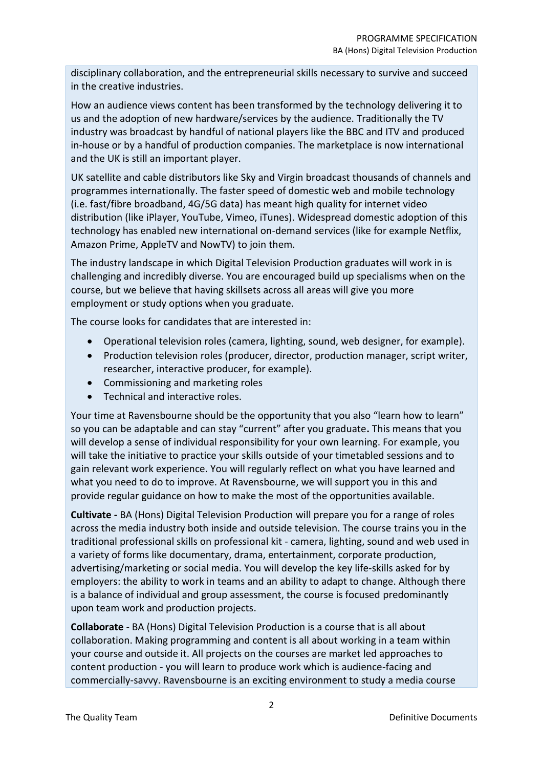disciplinary collaboration, and the entrepreneurial skills necessary to survive and succeed in the creative industries.

How an audience views content has been transformed by the technology delivering it to us and the adoption of new hardware/services by the audience. Traditionally the TV industry was broadcast by handful of national players like the BBC and ITV and produced in-house or by a handful of production companies. The marketplace is now international and the UK is still an important player.

UK satellite and cable distributors like Sky and Virgin broadcast thousands of channels and programmes internationally. The faster speed of domestic web and mobile technology (i.e. fast/fibre broadband, 4G/5G data) has meant high quality for internet video distribution (like iPlayer, YouTube, Vimeo, iTunes). Widespread domestic adoption of this technology has enabled new international on-demand services (like for example Netflix, Amazon Prime, AppleTV and NowTV) to join them.

The industry landscape in which Digital Television Production graduates will work in is challenging and incredibly diverse. You are encouraged build up specialisms when on the course, but we believe that having skillsets across all areas will give you more employment or study options when you graduate.

The course looks for candidates that are interested in:

- Operational television roles (camera, lighting, sound, web designer, for example).
- Production television roles (producer, director, production manager, script writer, researcher, interactive producer, for example).
- Commissioning and marketing roles
- Technical and interactive roles.

Your time at Ravensbourne should be the opportunity that you also "learn how to learn" so you can be adaptable and can stay "current" after you graduate**.** This means that you will develop a sense of individual responsibility for your own learning. For example, you will take the initiative to practice your skills outside of your timetabled sessions and to gain relevant work experience. You will regularly reflect on what you have learned and what you need to do to improve. At Ravensbourne, we will support you in this and provide regular guidance on how to make the most of the opportunities available.

**Cultivate -** BA (Hons) Digital Television Production will prepare you for a range of roles across the media industry both inside and outside television. The course trains you in the traditional professional skills on professional kit - camera, lighting, sound and web used in a variety of forms like documentary, drama, entertainment, corporate production, advertising/marketing or social media. You will develop the key life-skills asked for by employers: the ability to work in teams and an ability to adapt to change. Although there is a balance of individual and group assessment, the course is focused predominantly upon team work and production projects.

**Collaborate** - BA (Hons) Digital Television Production is a course that is all about collaboration. Making programming and content is all about working in a team within your course and outside it. All projects on the courses are market led approaches to content production - you will learn to produce work which is audience-facing and commercially-savvy. Ravensbourne is an exciting environment to study a media course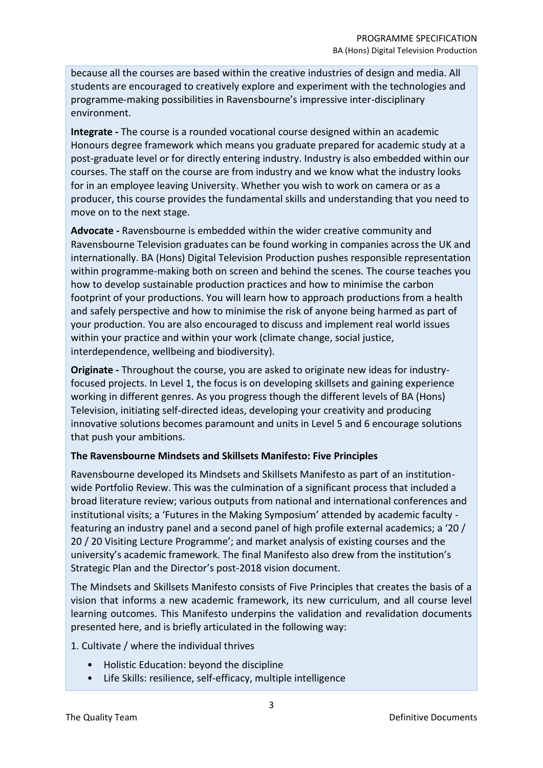because all the courses are based within the creative industries of design and media. All students are encouraged to creatively explore and experiment with the technologies and programme-making possibilities in Ravensbourne's impressive inter-disciplinary environment.

**Integrate -** The course is a rounded vocational course designed within an academic Honours degree framework which means you graduate prepared for academic study at a post-graduate level or for directly entering industry. Industry is also embedded within our courses. The staff on the course are from industry and we know what the industry looks for in an employee leaving University. Whether you wish to work on camera or as a producer, this course provides the fundamental skills and understanding that you need to move on to the next stage.

**Advocate -** Ravensbourne is embedded within the wider creative community and Ravensbourne Television graduates can be found working in companies across the UK and internationally. BA (Hons) Digital Television Production pushes responsible representation within programme-making both on screen and behind the scenes. The course teaches you how to develop sustainable production practices and how to minimise the carbon footprint of your productions. You will learn how to approach productions from a health and safely perspective and how to minimise the risk of anyone being harmed as part of your production. You are also encouraged to discuss and implement real world issues within your practice and within your work (climate change, social justice, interdependence, wellbeing and biodiversity).

**Originate -** Throughout the course, you are asked to originate new ideas for industryfocused projects. In Level 1, the focus is on developing skillsets and gaining experience working in different genres. As you progress though the different levels of BA (Hons) Television, initiating self-directed ideas, developing your creativity and producing innovative solutions becomes paramount and units in Level 5 and 6 encourage solutions that push your ambitions.

## **The Ravensbourne Mindsets and Skillsets Manifesto: Five Principles**

Ravensbourne developed its Mindsets and Skillsets Manifesto as part of an institutionwide Portfolio Review. This was the culmination of a significant process that included a broad literature review; various outputs from national and international conferences and institutional visits; a 'Futures in the Making Symposium' attended by academic faculty featuring an industry panel and a second panel of high profile external academics; a '20 / 20 / 20 Visiting Lecture Programme'; and market analysis of existing courses and the university's academic framework. The final Manifesto also drew from the institution's Strategic Plan and the Director's post-2018 vision document.

The Mindsets and Skillsets Manifesto consists of Five Principles that creates the basis of a vision that informs a new academic framework, its new curriculum, and all course level learning outcomes. This Manifesto underpins the validation and revalidation documents presented here, and is briefly articulated in the following way:

1. Cultivate / where the individual thrives

- Holistic Education: beyond the discipline
- Life Skills: resilience, self-efficacy, multiple intelligence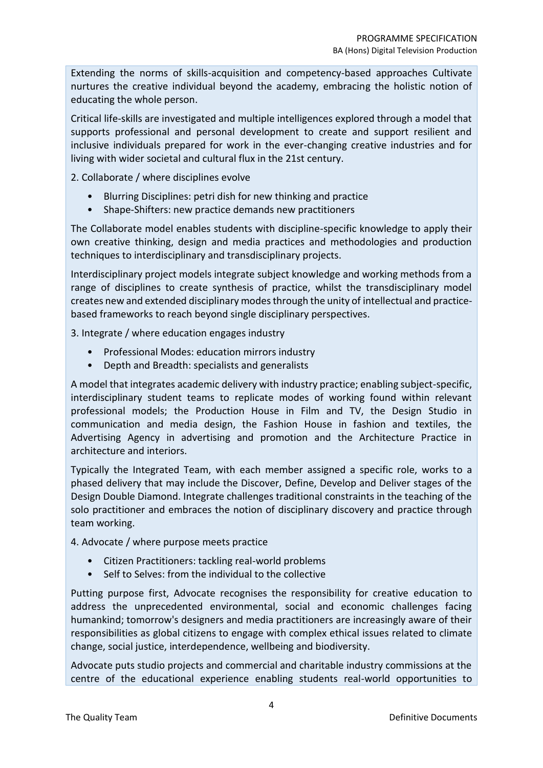Extending the norms of skills-acquisition and competency-based approaches Cultivate nurtures the creative individual beyond the academy, embracing the holistic notion of educating the whole person.

Critical life-skills are investigated and multiple intelligences explored through a model that supports professional and personal development to create and support resilient and inclusive individuals prepared for work in the ever-changing creative industries and for living with wider societal and cultural flux in the 21st century.

2. Collaborate / where disciplines evolve

- Blurring Disciplines: petri dish for new thinking and practice
- Shape-Shifters: new practice demands new practitioners

The Collaborate model enables students with discipline-specific knowledge to apply their own creative thinking, design and media practices and methodologies and production techniques to interdisciplinary and transdisciplinary projects.

Interdisciplinary project models integrate subject knowledge and working methods from a range of disciplines to create synthesis of practice, whilst the transdisciplinary model creates new and extended disciplinary modes through the unity of intellectual and practicebased frameworks to reach beyond single disciplinary perspectives.

3. Integrate / where education engages industry

- Professional Modes: education mirrors industry
- Depth and Breadth: specialists and generalists

A model that integrates academic delivery with industry practice; enabling subject-specific, interdisciplinary student teams to replicate modes of working found within relevant professional models; the Production House in Film and TV, the Design Studio in communication and media design, the Fashion House in fashion and textiles, the Advertising Agency in advertising and promotion and the Architecture Practice in architecture and interiors.

Typically the Integrated Team, with each member assigned a specific role, works to a phased delivery that may include the Discover, Define, Develop and Deliver stages of the Design Double Diamond. Integrate challenges traditional constraints in the teaching of the solo practitioner and embraces the notion of disciplinary discovery and practice through team working.

# 4. Advocate / where purpose meets practice

- Citizen Practitioners: tackling real-world problems
- Self to Selves: from the individual to the collective

Putting purpose first, Advocate recognises the responsibility for creative education to address the unprecedented environmental, social and economic challenges facing humankind; tomorrow's designers and media practitioners are increasingly aware of their responsibilities as global citizens to engage with complex ethical issues related to climate change, social justice, interdependence, wellbeing and biodiversity.

Advocate puts studio projects and commercial and charitable industry commissions at the centre of the educational experience enabling students real-world opportunities to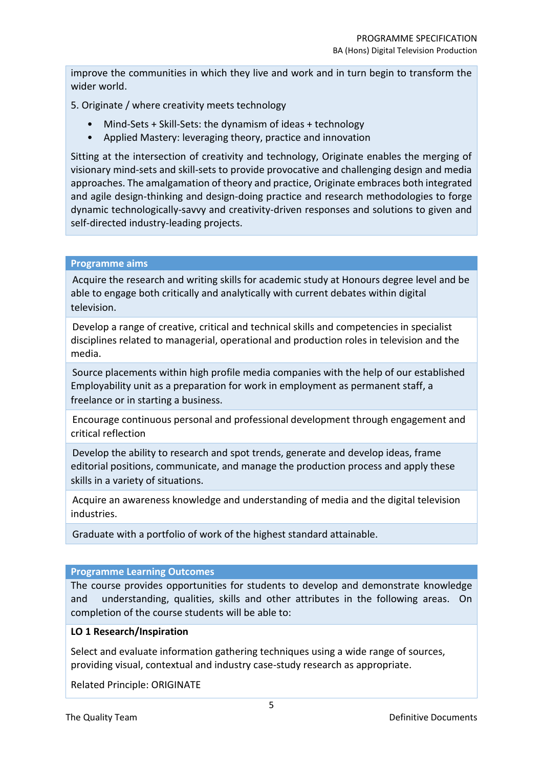improve the communities in which they live and work and in turn begin to transform the wider world.

5. Originate / where creativity meets technology

- Mind-Sets + Skill-Sets: the dynamism of ideas + technology
- Applied Mastery: leveraging theory, practice and innovation

Sitting at the intersection of creativity and technology, Originate enables the merging of visionary mind-sets and skill-sets to provide provocative and challenging design and media approaches. The amalgamation of theory and practice, Originate embraces both integrated and agile design-thinking and design-doing practice and research methodologies to forge dynamic technologically-savvy and creativity-driven responses and solutions to given and self-directed industry-leading projects.

#### **Programme aims**

Acquire the research and writing skills for academic study at Honours degree level and be able to engage both critically and analytically with current debates within digital television.

Develop a range of creative, critical and technical skills and competencies in specialist disciplines related to managerial, operational and production roles in television and the media.

Source placements within high profile media companies with the help of our established Employability unit as a preparation for work in employment as permanent staff, a freelance or in starting a business.

Encourage continuous personal and professional development through engagement and critical reflection

Develop the ability to research and spot trends, generate and develop ideas, frame editorial positions, communicate, and manage the production process and apply these skills in a variety of situations.

Acquire an awareness knowledge and understanding of media and the digital television industries.

Graduate with a portfolio of work of the highest standard attainable.

## **Programme Learning Outcomes**

The course provides opportunities for students to develop and demonstrate knowledge and understanding, qualities, skills and other attributes in the following areas. On completion of the course students will be able to:

## **LO 1 Research/Inspiration**

Select and evaluate information gathering techniques using a wide range of sources, providing visual, contextual and industry case-study research as appropriate.

Related Principle: ORIGINATE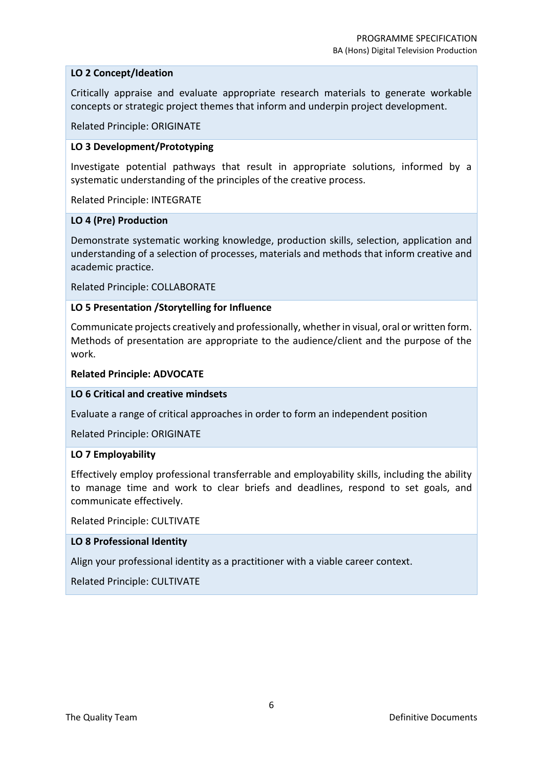# **LO 2 Concept/Ideation**

Critically appraise and evaluate appropriate research materials to generate workable concepts or strategic project themes that inform and underpin project development.

Related Principle: ORIGINATE

## **LO 3 Development/Prototyping**

Investigate potential pathways that result in appropriate solutions, informed by a systematic understanding of the principles of the creative process.

Related Principle: INTEGRATE

#### **LO 4 (Pre) Production**

Demonstrate systematic working knowledge, production skills, selection, application and understanding of a selection of processes, materials and methods that inform creative and academic practice.

Related Principle: COLLABORATE

## **LO 5 Presentation /Storytelling for Influence**

Communicate projects creatively and professionally, whether in visual, oral or written form. Methods of presentation are appropriate to the audience/client and the purpose of the work.

## **Related Principle: ADVOCATE**

## **LO 6 Critical and creative mindsets**

Evaluate a range of critical approaches in order to form an independent position

Related Principle: ORIGINATE

## **LO 7 Employability**

Effectively employ professional transferrable and employability skills, including the ability to manage time and work to clear briefs and deadlines, respond to set goals, and communicate effectively.

Related Principle: CULTIVATE

## **LO 8 Professional Identity**

Align your professional identity as a practitioner with a viable career context.

Related Principle: CULTIVATE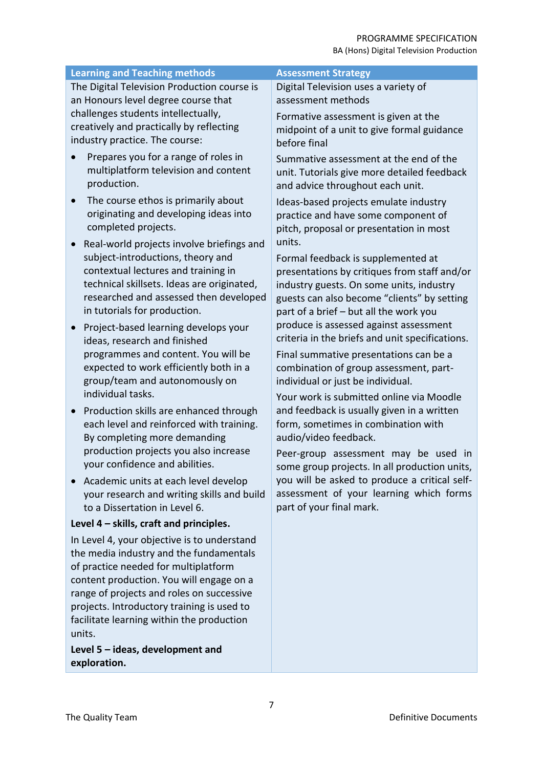| <b>Learning and Teaching methods</b>                   | <b>Assessment Strategy</b>                      |
|--------------------------------------------------------|-------------------------------------------------|
| The Digital Television Production course is            | Digital Television uses a variety of            |
| an Honours level degree course that                    | assessment methods                              |
| challenges students intellectually,                    | Formative assessment is given at the            |
| creatively and practically by reflecting               | midpoint of a unit to give formal guidance      |
| industry practice. The course:                         | before final                                    |
| Prepares you for a range of roles in                   | Summative assessment at the end of the          |
| multiplatform television and content                   | unit. Tutorials give more detailed feedback     |
| production.                                            | and advice throughout each unit.                |
| The course ethos is primarily about                    | Ideas-based projects emulate industry           |
| originating and developing ideas into                  | practice and have some component of             |
| completed projects.                                    | pitch, proposal or presentation in most         |
| Real-world projects involve briefings and<br>$\bullet$ | units.                                          |
| subject-introductions, theory and                      | Formal feedback is supplemented at              |
| contextual lectures and training in                    | presentations by critiques from staff and/or    |
| technical skillsets. Ideas are originated,             | industry guests. On some units, industry        |
| researched and assessed then developed                 | guests can also become "clients" by setting     |
| in tutorials for production.                           | part of a brief - but all the work you          |
| Project-based learning develops your                   | produce is assessed against assessment          |
| ideas, research and finished                           | criteria in the briefs and unit specifications. |
| programmes and content. You will be                    | Final summative presentations can be a          |
| expected to work efficiently both in a                 | combination of group assessment, part-          |
| group/team and autonomously on                         | individual or just be individual.               |
| individual tasks.                                      | Your work is submitted online via Moodle        |
| Production skills are enhanced through                 | and feedback is usually given in a written      |
| each level and reinforced with training.               | form, sometimes in combination with             |
| By completing more demanding                           | audio/video feedback.                           |
| production projects you also increase                  | Peer-group assessment may be used in            |
| your confidence and abilities.                         | some group projects. In all production units,   |
| Academic units at each level develop                   | you will be asked to produce a critical self-   |
| your research and writing skills and build             | assessment of your learning which forms         |
| to a Dissertation in Level 6.                          | part of your final mark.                        |
| Level 4 - skills, craft and principles.                |                                                 |
| In Level 4, your objective is to understand            |                                                 |
| the media industry and the fundamentals                |                                                 |
| of practice needed for multiplatform                   |                                                 |
| content production. You will engage on a               |                                                 |
| range of projects and roles on successive              |                                                 |
| projects. Introductory training is used to             |                                                 |
| facilitate learning within the production              |                                                 |
| units.                                                 |                                                 |
| Level 5 - ideas, development and<br>exploration.       |                                                 |
|                                                        |                                                 |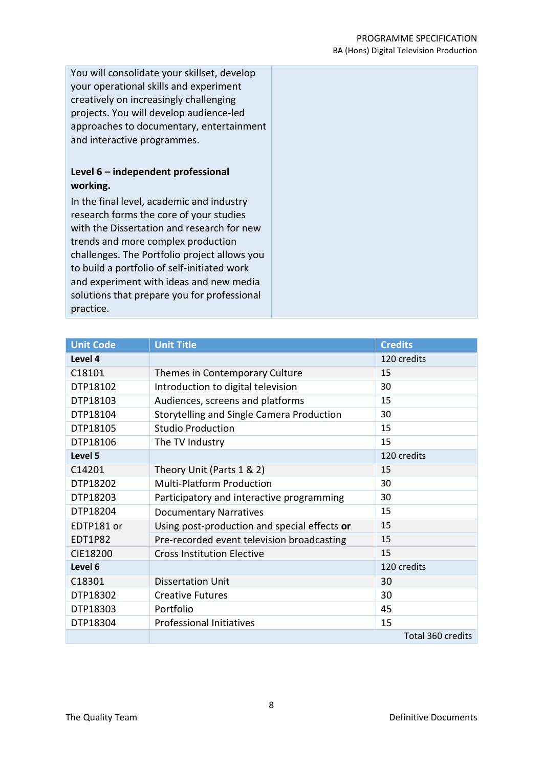#### PROGRAMME SPECIFICATION BA (Hons) Digital Television Production

You will consolidate your skillset, develop your operational skills and experiment creatively on increasingly challenging projects. You will develop audience-led approaches to documentary, entertainment and interactive programmes.

# **Level 6 – independent professional working.**

In the final level, academic and industry research forms the core of your studies with the Dissertation and research for new trends and more complex production challenges. The Portfolio project allows you to build a portfolio of self-initiated work and experiment with ideas and new media solutions that prepare you for professional practice.

| <b>Unit Code</b> | <b>Unit Title</b>                            | <b>Credits</b>    |
|------------------|----------------------------------------------|-------------------|
| Level 4          |                                              | 120 credits       |
| C18101           | Themes in Contemporary Culture               | 15                |
| DTP18102         | Introduction to digital television           | 30                |
| DTP18103         | Audiences, screens and platforms             | 15                |
| DTP18104         | Storytelling and Single Camera Production    | 30                |
| DTP18105         | <b>Studio Production</b>                     | 15                |
| DTP18106         | The TV Industry                              | 15                |
| Level 5          |                                              | 120 credits       |
| C14201           | Theory Unit (Parts 1 & 2)                    | 15                |
| DTP18202         | Multi-Platform Production                    | 30                |
| DTP18203         | Participatory and interactive programming    | 30                |
| DTP18204         | <b>Documentary Narratives</b>                | 15                |
| EDTP181 or       | Using post-production and special effects or | 15                |
| EDT1P82          | Pre-recorded event television broadcasting   | 15                |
| CIE18200         | <b>Cross Institution Elective</b>            | 15                |
| Level 6          |                                              | 120 credits       |
| C18301           | <b>Dissertation Unit</b>                     | 30                |
| DTP18302         | <b>Creative Futures</b>                      | 30                |
| DTP18303         | Portfolio                                    | 45                |
| DTP18304         | <b>Professional Initiatives</b>              | 15                |
|                  |                                              | Total 360 credits |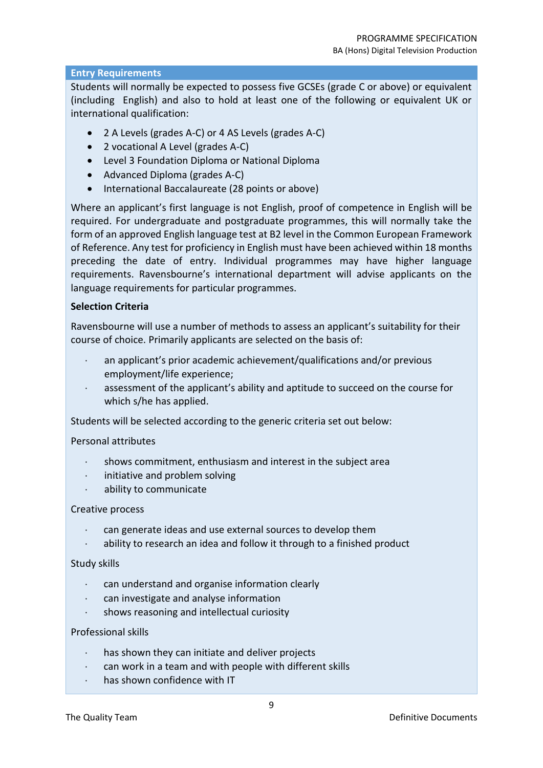# **Entry Requirements**

Students will normally be expected to possess five GCSEs (grade C or above) or equivalent (including English) and also to hold at least one of the following or equivalent UK or international qualification:

- 2 A Levels (grades A-C) or 4 AS Levels (grades A-C)
- 2 vocational A Level (grades A-C)
- Level 3 Foundation Diploma or National Diploma
- Advanced Diploma (grades A-C)
- International Baccalaureate (28 points or above)

Where an applicant's first language is not English, proof of competence in English will be required. For undergraduate and postgraduate programmes, this will normally take the form of an approved English language test at B2 level in the Common European Framework of Reference. Any test for proficiency in English must have been achieved within 18 months preceding the date of entry. Individual programmes may have higher language requirements. Ravensbourne's international department will advise applicants on the language requirements for particular programmes.

## **Selection Criteria**

Ravensbourne will use a number of methods to assess an applicant's suitability for their course of choice. Primarily applicants are selected on the basis of:

- an applicant's prior academic achievement/qualifications and/or previous employment/life experience;
- assessment of the applicant's ability and aptitude to succeed on the course for which s/he has applied.

Students will be selected according to the generic criteria set out below:

Personal attributes

- shows commitment, enthusiasm and interest in the subject area
- $\cdot$  initiative and problem solving
- ability to communicate

## Creative process

- can generate ideas and use external sources to develop them
- ability to research an idea and follow it through to a finished product

Study skills

- can understand and organise information clearly
- can investigate and analyse information
- shows reasoning and intellectual curiosity

## Professional skills

- has shown they can initiate and deliver projects
- can work in a team and with people with different skills
- has shown confidence with IT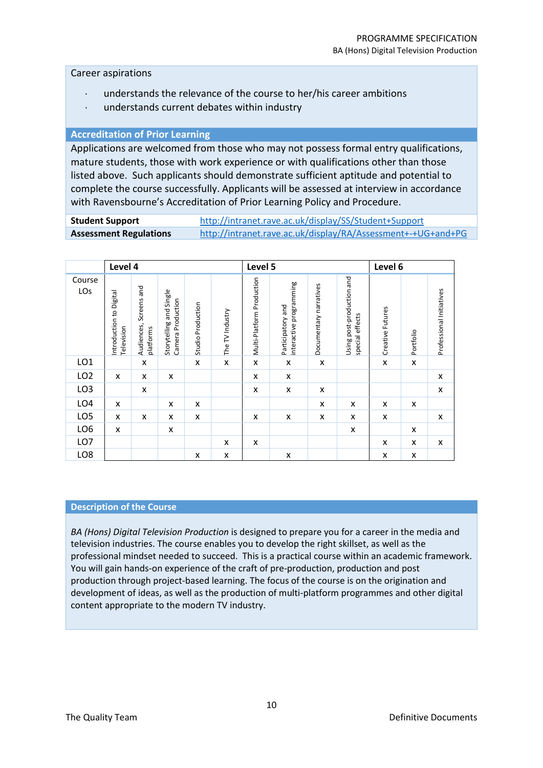#### Career aspirations

- understands the relevance of the course to her/his career ambitions
- understands current debates within industry

#### **Accreditation of Prior Learning**

Applications are welcomed from those who may not possess formal entry qualifications, mature students, those with work experience or with qualifications other than those listed above. Such applicants should demonstrate sufficient aptitude and potential to complete the course successfully. Applicants will be assessed at interview in accordance with Ravensbourne's Accreditation of Prior Learning Policy and Procedure.

**Student Support** <http://intranet.rave.ac.uk/display/SS/Student+Support> **Assessment Regulations** <http://intranet.rave.ac.uk/display/RA/Assessment+-+UG+and+PG>

|                 | Level 4                               |                                     |                                              |                   | Level 5         |                           |                                              |                        | Level 6                                      |                  |           |                           |
|-----------------|---------------------------------------|-------------------------------------|----------------------------------------------|-------------------|-----------------|---------------------------|----------------------------------------------|------------------------|----------------------------------------------|------------------|-----------|---------------------------|
| Course<br>LOs   | Introduction to Digital<br>Television | Audiences, Screens and<br>platforms | Storytelling and Single<br>Camera Production | Studio Production | The TV Industry | Multi-Platform Production | interactive programming<br>Participatory and | Documentary narratives | Using post-production and<br>special effects | Creative Futures | Portfolio | Professional Initiatives  |
| LO <sub>1</sub> |                                       | X                                   |                                              | x                 | X               | X                         | X                                            | X                      |                                              | x                | X         |                           |
| LO <sub>2</sub> | x                                     | X                                   | x                                            |                   |                 | X                         | X                                            |                        |                                              |                  |           | X                         |
| LO <sub>3</sub> |                                       | X                                   |                                              |                   |                 | X                         | X                                            | X                      |                                              |                  |           | $\boldsymbol{\mathsf{x}}$ |
| LO <sub>4</sub> | x                                     |                                     | x                                            | x                 |                 |                           |                                              | X                      | X                                            | X                | X         |                           |
| LO <sub>5</sub> | X                                     | X                                   | X                                            | X                 |                 | X                         | X                                            | X                      | X                                            | X                |           | $\pmb{\times}$            |
| LO <sub>6</sub> | X                                     |                                     | X                                            |                   |                 |                           |                                              |                        | X                                            |                  | x         |                           |
| LO7             |                                       |                                     |                                              |                   | x               | X                         |                                              |                        |                                              | x                | X         | X                         |
| LO <sub>8</sub> |                                       |                                     |                                              | x                 | X               |                           | x                                            |                        |                                              | x                | X         |                           |

#### **Description of the Course**

*BA (Hons) Digital Television Production* is designed to prepare you for a career in the media and television industries. The course enables you to develop the right skillset, as well as the professional mindset needed to succeed. This is a practical course within an academic framework. You will gain hands-on experience of the craft of pre-production, production and post production through project-based learning. The focus of the course is on the origination and development of ideas, as well as the production of multi-platform programmes and other digital content appropriate to the modern TV industry.